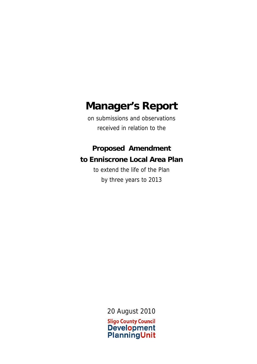# **Manager's Report**

on submissions and observations received in relation to the

## **Proposed Amendment to Enniscrone Local Area Plan**

to extend the life of the Plan by three years to 2013

20 August 2010

**Sligo County Council Development PlanningUnit**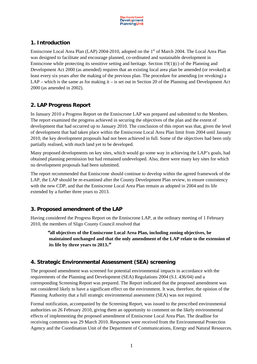

#### **1. Introduction**

Enniscrone Local Area Plan (LAP) 2004-2010, adopted on the 1<sup>st</sup> of March 2004. The Local Area Plan was designed to facilitate and encourage planned, co-ordinated and sustainable development in Enniscrone while protecting its sensitive setting and heritage. Section 19(1)(c) of the Planning and Development Act 2000 (as amended) requires that an existing local area plan be amended (or revoked) at least every six years after the making of the previous plan. The procedure for amending (or revoking) a LAP – which is the same as for making it – is set out in Section 20 of the Planning and Development Act 2000 (as amended in 2002).

#### **2. LAP Progress Report**

In January 2010 a Progress Report on the Enniscrone LAP was prepared and submitted to the Members. The report examined the progress achieved in securing the objectives of the plan and the extent of development that had occurred up to January 2010. The conclusion of this report was that, given the level of development that had taken place within the Enniscrone Local Area Plan limit from 2004 until January 2010, the key development proposals had not been achieved in full. Some of the objectives had been only partially realised, with much land yet to be developed.

Many proposed developments on key sites, which would go some way in achieving the LAP's goals, had obtained planning permission but had remained undeveloped. Also, there were many key sites for which no development proposals had been submitted.

The report recommended that Enniscrone should continue to develop within the agreed framework of the LAP, the LAP should be re-examined after the County Development Plan review, to ensure consistency with the new CDP, and that the Enniscrone Local Area Plan remain as adopted in 2004 and its life extended by a further three years to 2013.

#### **3. Proposed amendment of the LAP**

Having considered the Progress Report on the Enniscrone LAP, at the ordinary meeting of 1 February 2010, the members of Sligo County Council resolved that

 **"all objectives of the Enniscrone Local Area Plan, including zoning objectives, be maintained unchanged and that the only amendment of the LAP relate to the extension of its life by three years to 2013."** 

#### **4. Strategic Environmental Assessment (SEA) screening**

The proposed amendment was screened for potential environmental impacts in accordance with the requirements of the Planning and Development (SEA) Regulations 2004 (S.I. 436/04) and a corresponding Screening Report was prepared. The Report indicated that the proposed amendment was not considered likely to have a significant effect on the environment. It was, therefore, the opinion of the Planning Authority that a full strategic environmental assessment (SEA) was not required.

Formal notification, accompanied by the Screening Report, was issued to the prescribed environmental authorities on 26 February 2010, giving them an opportunity to comment on the likely environmental effects of implementing the proposed amendment of Enniscrone Local Area Plan. The deadline for receiving comments was 29 March 2010. Responses were received from the Environmental Protection Agency and the Coordination Unit of the Department of Communications, Energy and Natural Resources.